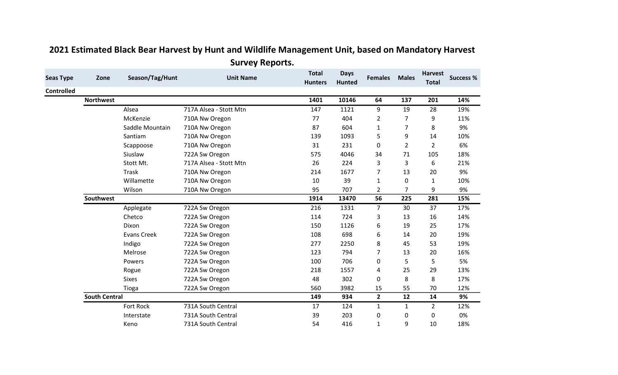| <b>Seas Type</b>  | Zone                 | Season/Tag/Hunt    | <b>Unit Name</b>       | <b>Total</b><br><b>Hunters</b> | <b>Days</b><br><b>Hunted</b> | <b>Females</b> | <b>Males</b>   | <b>Harvest</b><br><b>Total</b> | <b>Success %</b> |
|-------------------|----------------------|--------------------|------------------------|--------------------------------|------------------------------|----------------|----------------|--------------------------------|------------------|
| <b>Controlled</b> |                      |                    |                        |                                |                              |                |                |                                |                  |
|                   | <b>Northwest</b>     |                    |                        | 1401                           | 10146                        | 64             | 137            | 201                            | 14%              |
|                   |                      | Alsea              | 717A Alsea - Stott Mtn | 147                            | 1121                         | 9              | 19             | 28                             | 19%              |
|                   |                      | McKenzie           | 710A Nw Oregon         | 77                             | 404                          | $\overline{2}$ | 7              | 9                              | 11%              |
|                   |                      | Saddle Mountain    | 710A Nw Oregon         | 87                             | 604                          | $\mathbf{1}$   | 7              | 8                              | 9%               |
|                   |                      | Santiam            | 710A Nw Oregon         | 139                            | 1093                         | 5              | 9              | 14                             | 10%              |
|                   |                      | Scappoose          | 710A Nw Oregon         | 31                             | 231                          | $\mathbf 0$    | $\overline{2}$ | $\overline{2}$                 | 6%               |
|                   |                      | Siuslaw            | 722A Sw Oregon         | 575                            | 4046                         | 34             | 71             | 105                            | 18%              |
|                   |                      | Stott Mt.          | 717A Alsea - Stott Mtn | 26                             | 224                          | 3              | 3              | 6                              | 21%              |
|                   |                      | <b>Trask</b>       | 710A Nw Oregon         | 214                            | 1677                         | $\overline{7}$ | 13             | 20                             | 9%               |
|                   |                      | Willamette         | 710A Nw Oregon         | 10                             | 39                           | $\mathbf{1}$   | 0              | $\mathbf{1}$                   | 10%              |
|                   |                      | Wilson             | 710A Nw Oregon         | 95                             | 707                          | $\overline{2}$ | 7              | 9                              | 9%               |
|                   | Southwest            |                    |                        | 1914                           | 13470                        | 56             | 225            | 281                            | 15%              |
|                   |                      | Applegate          | 722A Sw Oregon         | 216                            | 1331                         | $\overline{7}$ | 30             | 37                             | 17%              |
|                   |                      | Chetco             | 722A Sw Oregon         | 114                            | 724                          | 3              | 13             | 16                             | 14%              |
|                   |                      | Dixon              | 722A Sw Oregon         | 150                            | 1126                         | 6              | 19             | 25                             | 17%              |
|                   |                      | <b>Evans Creek</b> | 722A Sw Oregon         | 108                            | 698                          | 6              | 14             | 20                             | 19%              |
|                   |                      | Indigo             | 722A Sw Oregon         | 277                            | 2250                         | 8              | 45             | 53                             | 19%              |
|                   |                      | Melrose            | 722A Sw Oregon         | 123                            | 794                          | $\overline{7}$ | 13             | 20                             | 16%              |
|                   |                      | Powers             | 722A Sw Oregon         | 100                            | 706                          | $\mathbf 0$    | 5              | 5                              | 5%               |
|                   |                      | Rogue              | 722A Sw Oregon         | 218                            | 1557                         | 4              | 25             | 29                             | 13%              |
|                   |                      | <b>Sixes</b>       | 722A Sw Oregon         | 48                             | 302                          | $\mathbf 0$    | 8              | 8                              | 17%              |
|                   |                      | Tioga              | 722A Sw Oregon         | 560                            | 3982                         | 15             | 55             | 70                             | 12%              |
|                   | <b>South Central</b> |                    |                        | 149                            | 934                          | $\overline{2}$ | 12             | 14                             | 9%               |
|                   |                      | Fort Rock          | 731A South Central     | 17                             | 124                          | $\mathbf{1}$   | $\mathbf{1}$   | $\overline{2}$                 | 12%              |
|                   |                      | Interstate         | 731A South Central     | 39                             | 203                          | $\pmb{0}$      | 0              | 0                              | 0%               |
|                   |                      | Keno               | 731A South Central     | 54                             | 416                          | $\mathbf{1}$   | 9              | 10                             | 18%              |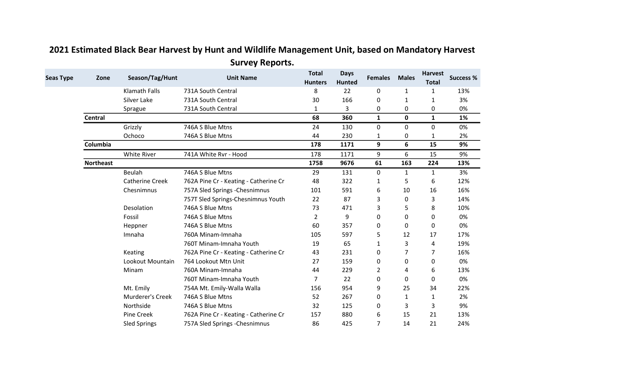| <b>Seas Type</b> | Zone             | Season/Tag/Hunt        | <b>Unit Name</b>                      | <b>Total</b><br><b>Hunters</b> | <b>Days</b><br><b>Hunted</b> | <b>Females</b> | <b>Males</b> | <b>Harvest</b><br><b>Total</b> | <b>Success %</b> |
|------------------|------------------|------------------------|---------------------------------------|--------------------------------|------------------------------|----------------|--------------|--------------------------------|------------------|
|                  |                  | <b>Klamath Falls</b>   | 731A South Central                    | 8                              | 22                           | 0              | $\mathbf{1}$ | $\mathbf{1}$                   | 13%              |
|                  |                  | Silver Lake            | 731A South Central                    | 30                             | 166                          | 0              | 1            | 1                              | 3%               |
|                  |                  | Sprague                | 731A South Central                    | $\mathbf{1}$                   | 3                            | 0              | 0            | 0                              | 0%               |
|                  | <b>Central</b>   |                        |                                       | 68                             | 360                          | $\mathbf{1}$   | $\mathbf 0$  | $\mathbf{1}$                   | 1%               |
|                  |                  | Grizzly                | 746A S Blue Mtns                      | 24                             | 130                          | 0              | 0            | $\mathbf 0$                    | 0%               |
|                  |                  | Ochoco                 | 746A S Blue Mtns                      | 44                             | 230                          | 1              | 0            | 1                              | 2%               |
|                  | Columbia         |                        |                                       | 178                            | 1171                         | 9              | 6            | 15                             | 9%               |
|                  |                  | <b>White River</b>     | 741A White Rvr - Hood                 | 178                            | 1171                         | 9              | 6            | 15                             | 9%               |
|                  | <b>Northeast</b> |                        |                                       | 1758                           | 9676                         | 61             | 163          | 224                            | 13%              |
|                  |                  | Beulah                 | 746A S Blue Mtns                      | 29                             | 131                          | 0              | 1            | $\mathbf{1}$                   | 3%               |
|                  |                  | <b>Catherine Creek</b> | 762A Pine Cr - Keating - Catherine Cr | 48                             | 322                          | 1              | 5            | 6                              | 12%              |
|                  |                  | Chesnimnus             | 757A Sled Springs - Chesnimnus        | 101                            | 591                          | 6              | 10           | 16                             | 16%              |
|                  |                  |                        | 757T Sled Springs-Chesnimnus Youth    | 22                             | 87                           | 3              | 0            | 3                              | 14%              |
|                  |                  | Desolation             | 746A S Blue Mtns                      | 73                             | 471                          | 3              | 5            | 8                              | 10%              |
|                  |                  | Fossil                 | 746A S Blue Mtns                      | $\overline{2}$                 | 9                            | 0              | 0            | 0                              | 0%               |
|                  |                  | Heppner                | 746A S Blue Mtns                      | 60                             | 357                          | 0              | 0            | 0                              | 0%               |
|                  |                  | Imnaha                 | 760A Minam-Imnaha                     | 105                            | 597                          | 5              | 12           | 17                             | 17%              |
|                  |                  |                        | 760T Minam-Imnaha Youth               | 19                             | 65                           | 1              | 3            | 4                              | 19%              |
|                  |                  | Keating                | 762A Pine Cr - Keating - Catherine Cr | 43                             | 231                          | 0              | 7            | $\overline{7}$                 | 16%              |
|                  |                  | Lookout Mountain       | 764 Lookout Mtn Unit                  | 27                             | 159                          | 0              | 0            | 0                              | 0%               |
|                  |                  | Minam                  | 760A Minam-Imnaha                     | 44                             | 229                          | $\overline{2}$ | 4            | 6                              | 13%              |
|                  |                  |                        | 760T Minam-Imnaha Youth               | 7                              | 22                           | 0              | 0            | 0                              | 0%               |
|                  |                  | Mt. Emily              | 754A Mt. Emily-Walla Walla            | 156                            | 954                          | 9              | 25           | 34                             | 22%              |
|                  |                  | Murderer's Creek       | 746A S Blue Mtns                      | 52                             | 267                          | 0              | $\mathbf{1}$ | $\mathbf{1}$                   | 2%               |
|                  |                  | Northside              | 746A S Blue Mtns                      | 32                             | 125                          | 0              | 3            | 3                              | 9%               |
|                  |                  | Pine Creek             | 762A Pine Cr - Keating - Catherine Cr | 157                            | 880                          | 6              | 15           | 21                             | 13%              |
|                  |                  | <b>Sled Springs</b>    | 757A Sled Springs - Chesnimnus        | 86                             | 425                          | 7              | 14           | 21                             | 24%              |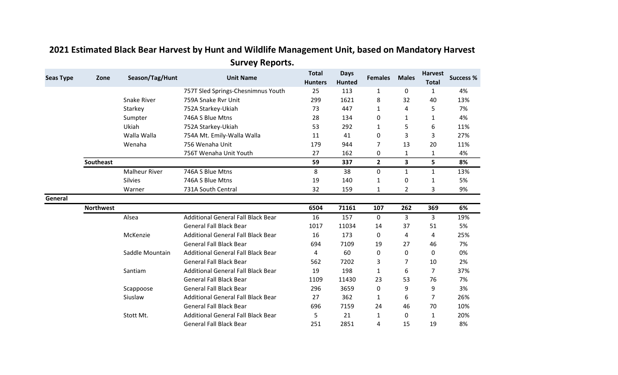| <b>Seas Type</b> | Zone             | Season/Tag/Hunt      | <b>Unit Name</b>                          | <b>Total</b><br><b>Hunters</b> | <b>Days</b><br>Hunted | <b>Females</b> | <b>Males</b>            | <b>Harvest</b><br><b>Total</b> | <b>Success %</b> |
|------------------|------------------|----------------------|-------------------------------------------|--------------------------------|-----------------------|----------------|-------------------------|--------------------------------|------------------|
|                  |                  |                      | 757T Sled Springs-Chesnimnus Youth        | 25                             | 113                   | $\mathbf{1}$   | $\mathbf 0$             | $\mathbf{1}$                   | 4%               |
|                  |                  | <b>Snake River</b>   | 759A Snake Rvr Unit                       | 299                            | 1621                  | 8              | 32                      | 40                             | 13%              |
|                  |                  | Starkey              | 752A Starkey-Ukiah                        | 73                             | 447                   | 1              | 4                       | 5                              | 7%               |
|                  |                  | Sumpter              | 746A S Blue Mtns                          | 28                             | 134                   | 0              | $\mathbf{1}$            | 1                              | 4%               |
|                  |                  | Ukiah                | 752A Starkey-Ukiah                        | 53                             | 292                   | 1              | 5                       | 6                              | 11%              |
|                  |                  | Walla Walla          | 754A Mt. Emily-Walla Walla                | 11                             | 41                    | 0              | 3                       | 3                              | 27%              |
|                  |                  | Wenaha               | 756 Wenaha Unit                           | 179                            | 944                   | 7              | 13                      | 20                             | 11%              |
|                  |                  |                      | 756T Wenaha Unit Youth                    | 27                             | 162                   | 0              | $\mathbf{1}$            | 1                              | 4%               |
|                  | <b>Southeast</b> |                      |                                           | 59                             | 337                   | $\overline{2}$ | $\overline{\mathbf{3}}$ | 5                              | 8%               |
|                  |                  | <b>Malheur River</b> | 746A S Blue Mtns                          | 8                              | 38                    | $\mathbf 0$    | $\mathbf{1}$            | $\mathbf{1}$                   | 13%              |
|                  |                  | <b>Silvies</b>       | 746A S Blue Mtns                          | 19                             | 140                   | $\mathbf{1}$   | $\mathbf 0$             | 1                              | 5%               |
|                  |                  | Warner               | 731A South Central                        | 32                             | 159                   | $\mathbf{1}$   | 2                       | 3                              | 9%               |
| General          |                  |                      |                                           |                                |                       |                |                         |                                |                  |
|                  | <b>Northwest</b> |                      |                                           | 6504                           | 71161                 | 107            | 262                     | 369                            | 6%               |
|                  |                  | Alsea                | <b>Additional General Fall Black Bear</b> | 16                             | 157                   | 0              | 3                       | 3                              | 19%              |
|                  |                  |                      | <b>General Fall Black Bear</b>            | 1017                           | 11034                 | 14             | 37                      | 51                             | 5%               |
|                  |                  | McKenzie             | <b>Additional General Fall Black Bear</b> | 16                             | 173                   | 0              | 4                       | 4                              | 25%              |
|                  |                  |                      | <b>General Fall Black Bear</b>            | 694                            | 7109                  | 19             | 27                      | 46                             | 7%               |
|                  |                  | Saddle Mountain      | Additional General Fall Black Bear        | 4                              | 60                    | 0              | 0                       | 0                              | 0%               |
|                  |                  |                      | <b>General Fall Black Bear</b>            | 562                            | 7202                  | 3              | $\overline{7}$          | 10                             | 2%               |
|                  |                  | Santiam              | <b>Additional General Fall Black Bear</b> | 19                             | 198                   | $\mathbf{1}$   | 6                       | $\overline{7}$                 | 37%              |
|                  |                  |                      | <b>General Fall Black Bear</b>            | 1109                           | 11430                 | 23             | 53                      | 76                             | 7%               |
|                  |                  | Scappoose            | <b>General Fall Black Bear</b>            | 296                            | 3659                  | 0              | 9                       | 9                              | 3%               |
|                  |                  | Siuslaw              | <b>Additional General Fall Black Bear</b> | 27                             | 362                   | $\mathbf{1}$   | 6                       | 7                              | 26%              |
|                  |                  |                      | <b>General Fall Black Bear</b>            | 696                            | 7159                  | 24             | 46                      | 70                             | 10%              |
|                  |                  | Stott Mt.            | <b>Additional General Fall Black Bear</b> | 5                              | 21                    | $\mathbf{1}$   | 0                       | 1                              | 20%              |
|                  |                  |                      | <b>General Fall Black Bear</b>            | 251                            | 2851                  | 4              | 15                      | 19                             | 8%               |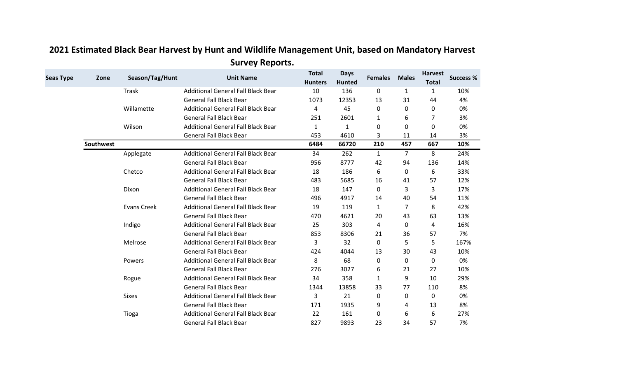| <b>Seas Type</b> | Zone             | Season/Tag/Hunt    | <b>Unit Name</b>                          | <b>Total</b><br><b>Hunters</b> | <b>Days</b><br><b>Hunted</b> | <b>Females</b> | <b>Males</b>   | <b>Harvest</b><br><b>Total</b> | <b>Success %</b> |
|------------------|------------------|--------------------|-------------------------------------------|--------------------------------|------------------------------|----------------|----------------|--------------------------------|------------------|
|                  |                  | Trask              | <b>Additional General Fall Black Bear</b> | 10                             | 136                          | 0              | $\mathbf{1}$   | $\mathbf{1}$                   | 10%              |
|                  |                  |                    | <b>General Fall Black Bear</b>            | 1073                           | 12353                        | 13             | 31             | 44                             | 4%               |
|                  |                  | Willamette         | <b>Additional General Fall Black Bear</b> | 4                              | 45                           | 0              | 0              | 0                              | 0%               |
|                  |                  |                    | <b>General Fall Black Bear</b>            | 251                            | 2601                         | 1              | 6              | 7                              | 3%               |
|                  |                  | Wilson             | <b>Additional General Fall Black Bear</b> | $\mathbf{1}$                   | $\mathbf{1}$                 | 0              | 0              | 0                              | 0%               |
|                  |                  |                    | <b>General Fall Black Bear</b>            | 453                            | 4610                         | 3              | 11             | 14                             | 3%               |
|                  | <b>Southwest</b> |                    |                                           | 6484                           | 66720                        | 210            | 457            | 667                            | 10%              |
|                  |                  | Applegate          | <b>Additional General Fall Black Bear</b> | 34                             | 262                          | $\mathbf{1}$   | $\overline{7}$ | 8                              | 24%              |
|                  |                  |                    | <b>General Fall Black Bear</b>            | 956                            | 8777                         | 42             | 94             | 136                            | 14%              |
|                  |                  | Chetco             | Additional General Fall Black Bear        | 18                             | 186                          | 6              | 0              | 6                              | 33%              |
|                  |                  |                    | <b>General Fall Black Bear</b>            | 483                            | 5685                         | 16             | 41             | 57                             | 12%              |
|                  |                  | Dixon              | <b>Additional General Fall Black Bear</b> | 18                             | 147                          | 0              | 3              | 3                              | 17%              |
|                  |                  |                    | <b>General Fall Black Bear</b>            | 496                            | 4917                         | 14             | 40             | 54                             | 11%              |
|                  |                  | <b>Evans Creek</b> | <b>Additional General Fall Black Bear</b> | 19                             | 119                          | 1              | 7              | 8                              | 42%              |
|                  |                  |                    | <b>General Fall Black Bear</b>            | 470                            | 4621                         | 20             | 43             | 63                             | 13%              |
|                  |                  | Indigo             | <b>Additional General Fall Black Bear</b> | 25                             | 303                          | 4              | 0              | 4                              | 16%              |
|                  |                  |                    | <b>General Fall Black Bear</b>            | 853                            | 8306                         | 21             | 36             | 57                             | 7%               |
|                  |                  | Melrose            | <b>Additional General Fall Black Bear</b> | 3                              | 32                           | 0              | 5              | 5                              | 167%             |
|                  |                  |                    | <b>General Fall Black Bear</b>            | 424                            | 4044                         | 13             | 30             | 43                             | 10%              |
|                  |                  | Powers             | <b>Additional General Fall Black Bear</b> | 8                              | 68                           | 0              | 0              | 0                              | 0%               |
|                  |                  |                    | <b>General Fall Black Bear</b>            | 276                            | 3027                         | 6              | 21             | 27                             | 10%              |
|                  |                  | Rogue              | Additional General Fall Black Bear        | 34                             | 358                          | 1              | 9              | 10                             | 29%              |
|                  |                  |                    | <b>General Fall Black Bear</b>            | 1344                           | 13858                        | 33             | 77             | 110                            | 8%               |
|                  |                  | <b>Sixes</b>       | <b>Additional General Fall Black Bear</b> | 3                              | 21                           | 0              | 0              | 0                              | 0%               |
|                  |                  |                    | <b>General Fall Black Bear</b>            | 171                            | 1935                         | 9              | 4              | 13                             | 8%               |
|                  |                  | Tioga              | <b>Additional General Fall Black Bear</b> | 22                             | 161                          | 0              | 6              | 6                              | 27%              |
|                  |                  |                    | <b>General Fall Black Bear</b>            | 827                            | 9893                         | 23             | 34             | 57                             | 7%               |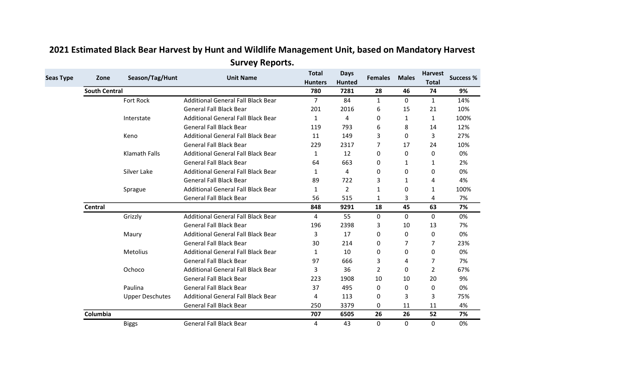| <b>Seas Type</b> | Zone                 | Season/Tag/Hunt        | <b>Unit Name</b>                          | <b>Total</b><br><b>Hunters</b> | <b>Days</b><br><b>Hunted</b> | <b>Females</b> | <b>Males</b> | <b>Harvest</b><br><b>Total</b> | <b>Success %</b> |
|------------------|----------------------|------------------------|-------------------------------------------|--------------------------------|------------------------------|----------------|--------------|--------------------------------|------------------|
|                  | <b>South Central</b> |                        |                                           | 780                            | 7281                         | 28             | 46           | 74                             | 9%               |
|                  |                      | Fort Rock              | <b>Additional General Fall Black Bear</b> | $\overline{7}$                 | 84                           | $\mathbf{1}$   | $\Omega$     | $\mathbf{1}$                   | 14%              |
|                  |                      |                        | <b>General Fall Black Bear</b>            | 201                            | 2016                         | 6              | 15           | 21                             | 10%              |
|                  |                      | Interstate             | <b>Additional General Fall Black Bear</b> | $\mathbf{1}$                   | 4                            | 0              | $\mathbf{1}$ | $\mathbf{1}$                   | 100%             |
|                  |                      |                        | <b>General Fall Black Bear</b>            | 119                            | 793                          | 6              | 8            | 14                             | 12%              |
|                  |                      | Keno                   | <b>Additional General Fall Black Bear</b> | 11                             | 149                          | 3              | 0            | 3                              | 27%              |
|                  |                      |                        | <b>General Fall Black Bear</b>            | 229                            | 2317                         | 7              | 17           | 24                             | 10%              |
|                  |                      | <b>Klamath Falls</b>   | <b>Additional General Fall Black Bear</b> | $\mathbf{1}$                   | 12                           | 0              | 0            | 0                              | 0%               |
|                  |                      |                        | <b>General Fall Black Bear</b>            | 64                             | 663                          | 0              | $\mathbf{1}$ | 1                              | 2%               |
|                  |                      | Silver Lake            | <b>Additional General Fall Black Bear</b> | 1                              | 4                            | 0              | 0            | 0                              | 0%               |
|                  |                      |                        | <b>General Fall Black Bear</b>            | 89                             | 722                          | 3              | $\mathbf{1}$ | 4                              | 4%               |
|                  |                      | Sprague                | <b>Additional General Fall Black Bear</b> | 1                              | $\overline{2}$               | $\mathbf{1}$   | 0            | $\mathbf{1}$                   | 100%             |
|                  |                      |                        | <b>General Fall Black Bear</b>            | 56                             | 515                          | $\mathbf{1}$   | 3            | 4                              | 7%               |
|                  | Central              |                        |                                           | 848                            | 9291                         | 18             | 45           | 63                             | 7%               |
|                  |                      | Grizzly                | <b>Additional General Fall Black Bear</b> | 4                              | 55                           | 0              | 0            | $\mathbf{0}$                   | 0%               |
|                  |                      |                        | <b>General Fall Black Bear</b>            | 196                            | 2398                         | 3              | 10           | 13                             | 7%               |
|                  |                      | Maury                  | <b>Additional General Fall Black Bear</b> | 3                              | 17                           | 0              | 0            | 0                              | 0%               |
|                  |                      |                        | <b>General Fall Black Bear</b>            | 30                             | 214                          | 0              | 7            | 7                              | 23%              |
|                  |                      | <b>Metolius</b>        | <b>Additional General Fall Black Bear</b> | 1                              | 10                           | 0              | $\Omega$     | 0                              | 0%               |
|                  |                      |                        | <b>General Fall Black Bear</b>            | 97                             | 666                          | 3              | 4            | 7                              | 7%               |
|                  |                      | Ochoco                 | <b>Additional General Fall Black Bear</b> | 3                              | 36                           | $\overline{2}$ | $\Omega$     | $\overline{2}$                 | 67%              |
|                  |                      |                        | <b>General Fall Black Bear</b>            | 223                            | 1908                         | 10             | 10           | 20                             | 9%               |
|                  |                      | Paulina                | <b>General Fall Black Bear</b>            | 37                             | 495                          | 0              | 0            | 0                              | 0%               |
|                  |                      | <b>Upper Deschutes</b> | <b>Additional General Fall Black Bear</b> | 4                              | 113                          | 0              | 3            | 3                              | 75%              |
|                  |                      |                        | <b>General Fall Black Bear</b>            | 250                            | 3379                         | 0              | 11           | 11                             | 4%               |
|                  | Columbia             |                        |                                           | 707                            | 6505                         | 26             | 26           | 52                             | 7%               |
|                  |                      | <b>Biggs</b>           | <b>General Fall Black Bear</b>            | 4                              | 43                           | 0              | 0            | $\mathbf{0}$                   | 0%               |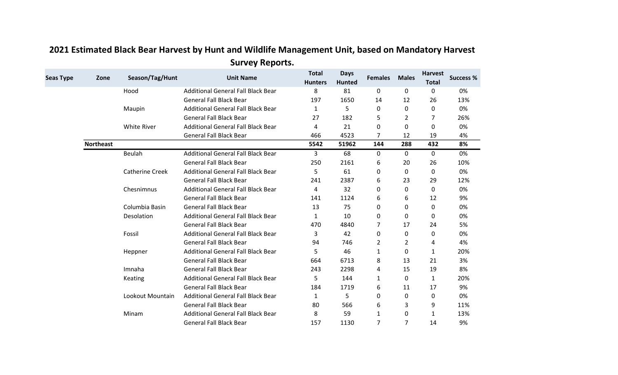| <b>Seas Type</b> | Zone             | Season/Tag/Hunt        | <b>Unit Name</b>                          | <b>Total</b><br><b>Hunters</b> | <b>Days</b><br><b>Hunted</b> | <b>Females</b> | <b>Males</b>   | <b>Harvest</b><br><b>Total</b> | <b>Success %</b> |
|------------------|------------------|------------------------|-------------------------------------------|--------------------------------|------------------------------|----------------|----------------|--------------------------------|------------------|
|                  |                  | Hood                   | <b>Additional General Fall Black Bear</b> | 8                              | 81                           | 0              | 0              | 0                              | 0%               |
|                  |                  |                        | <b>General Fall Black Bear</b>            | 197                            | 1650                         | 14             | 12             | 26                             | 13%              |
|                  |                  | Maupin                 | <b>Additional General Fall Black Bear</b> | 1                              | 5                            | 0              | $\mathbf 0$    | $\mathbf 0$                    | 0%               |
|                  |                  |                        | <b>General Fall Black Bear</b>            | 27                             | 182                          | 5              | $\overline{2}$ | 7                              | 26%              |
|                  |                  | <b>White River</b>     | Additional General Fall Black Bear        | 4                              | 21                           | 0              | $\Omega$       | 0                              | 0%               |
|                  |                  |                        | <b>General Fall Black Bear</b>            | 466                            | 4523                         | 7              | 12             | 19                             | 4%               |
|                  | <b>Northeast</b> |                        |                                           | 5542                           | 51962                        | 144            | 288            | 432                            | 8%               |
|                  |                  | <b>Beulah</b>          | <b>Additional General Fall Black Bear</b> | 3                              | 68                           | 0              | 0              | 0                              | 0%               |
|                  |                  |                        | <b>General Fall Black Bear</b>            | 250                            | 2161                         | 6              | 20             | 26                             | 10%              |
|                  |                  | <b>Catherine Creek</b> | Additional General Fall Black Bear        | 5                              | 61                           | 0              | 0              | 0                              | 0%               |
|                  |                  |                        | <b>General Fall Black Bear</b>            | 241                            | 2387                         | 6              | 23             | 29                             | 12%              |
|                  |                  | Chesnimnus             | <b>Additional General Fall Black Bear</b> | 4                              | 32                           | 0              | 0              | 0                              | 0%               |
|                  |                  |                        | <b>General Fall Black Bear</b>            | 141                            | 1124                         | 6              | 6              | 12                             | 9%               |
|                  |                  | Columbia Basin         | <b>General Fall Black Bear</b>            | 13                             | 75                           | 0              | 0              | 0                              | 0%               |
|                  |                  | Desolation             | <b>Additional General Fall Black Bear</b> | 1                              | 10                           | 0              | 0              | 0                              | 0%               |
|                  |                  |                        | <b>General Fall Black Bear</b>            | 470                            | 4840                         | 7              | 17             | 24                             | 5%               |
|                  |                  | Fossil                 | <b>Additional General Fall Black Bear</b> | 3                              | 42                           | 0              | 0              | 0                              | 0%               |
|                  |                  |                        | <b>General Fall Black Bear</b>            | 94                             | 746                          | 2              | $\overline{2}$ | 4                              | 4%               |
|                  |                  | Heppner                | <b>Additional General Fall Black Bear</b> | 5                              | 46                           | $\mathbf{1}$   | 0              | $\mathbf{1}$                   | 20%              |
|                  |                  |                        | <b>General Fall Black Bear</b>            | 664                            | 6713                         | 8              | 13             | 21                             | 3%               |
|                  |                  | Imnaha                 | <b>General Fall Black Bear</b>            | 243                            | 2298                         | 4              | 15             | 19                             | 8%               |
|                  |                  | Keating                | Additional General Fall Black Bear        | 5                              | 144                          | 1              | $\mathbf{0}$   | $\mathbf{1}$                   | 20%              |
|                  |                  |                        | <b>General Fall Black Bear</b>            | 184                            | 1719                         | 6              | 11             | 17                             | 9%               |
|                  |                  | Lookout Mountain       | <b>Additional General Fall Black Bear</b> | 1                              | 5                            | 0              | 0              | 0                              | 0%               |
|                  |                  |                        | <b>General Fall Black Bear</b>            | 80                             | 566                          | 6              | 3              | 9                              | 11%              |
|                  |                  | Minam                  | Additional General Fall Black Bear        | 8                              | 59                           | $\mathbf{1}$   | 0              | 1                              | 13%              |
|                  |                  |                        | <b>General Fall Black Bear</b>            | 157                            | 1130                         | $\overline{7}$ | $\overline{7}$ | 14                             | 9%               |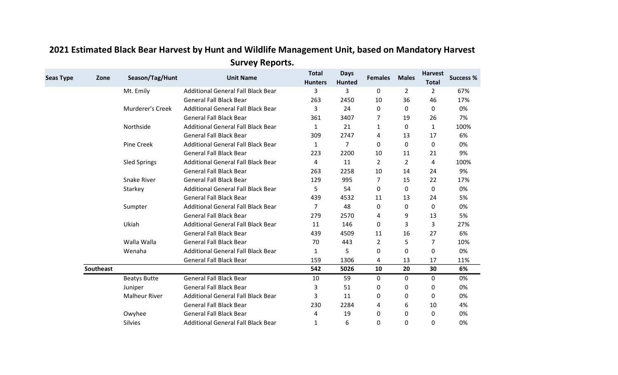| <b>Seas Type</b> | Zone             | Season/Tag/Hunt      | <b>Unit Name</b>                          | <b>Total</b><br><b>Hunters</b> | <b>Days</b><br><b>Hunted</b> | <b>Females</b> | <b>Males</b>   | <b>Harvest</b><br><b>Total</b> | <b>Success %</b> |
|------------------|------------------|----------------------|-------------------------------------------|--------------------------------|------------------------------|----------------|----------------|--------------------------------|------------------|
|                  |                  | Mt. Emily            | <b>Additional General Fall Black Bear</b> | 3                              | 3                            | 0              | $\overline{2}$ | $\overline{2}$                 | 67%              |
|                  |                  |                      | <b>General Fall Black Bear</b>            | 263                            | 2450                         | 10             | 36             | 46                             | 17%              |
|                  |                  | Murderer's Creek     | <b>Additional General Fall Black Bear</b> | 3                              | 24                           | 0              | 0              | 0                              | 0%               |
|                  |                  |                      | <b>General Fall Black Bear</b>            | 361                            | 3407                         | 7              | 19             | 26                             | 7%               |
|                  |                  | Northside            | <b>Additional General Fall Black Bear</b> | $\mathbf{1}$                   | 21                           | $\mathbf{1}$   | 0              | 1                              | 100%             |
|                  |                  |                      | <b>General Fall Black Bear</b>            | 309                            | 2747                         | 4              | 13             | 17                             | 6%               |
|                  |                  | Pine Creek           | <b>Additional General Fall Black Bear</b> | 1                              | $\overline{7}$               | 0              | 0              | 0                              | 0%               |
|                  |                  |                      | <b>General Fall Black Bear</b>            | 223                            | 2200                         | 10             | 11             | 21                             | 9%               |
|                  |                  | <b>Sled Springs</b>  | <b>Additional General Fall Black Bear</b> | 4                              | 11                           | $\overline{2}$ | $\overline{2}$ | 4                              | 100%             |
|                  |                  |                      | <b>General Fall Black Bear</b>            | 263                            | 2258                         | 10             | 14             | 24                             | 9%               |
|                  |                  | <b>Snake River</b>   | <b>General Fall Black Bear</b>            | 129                            | 995                          | 7              | 15             | 22                             | 17%              |
|                  |                  | Starkey              | <b>Additional General Fall Black Bear</b> | 5                              | 54                           | 0              | 0              | 0                              | 0%               |
|                  |                  |                      | <b>General Fall Black Bear</b>            | 439                            | 4532                         | 11             | 13             | 24                             | 5%               |
|                  |                  | Sumpter              | <b>Additional General Fall Black Bear</b> | $\overline{7}$                 | 48                           | 0              | 0              | $\mathbf 0$                    | 0%               |
|                  |                  |                      | <b>General Fall Black Bear</b>            | 279                            | 2570                         | 4              | 9              | 13                             | 5%               |
|                  |                  | Ukiah                | <b>Additional General Fall Black Bear</b> | 11                             | 146                          | 0              | 3              | 3                              | 27%              |
|                  |                  |                      | <b>General Fall Black Bear</b>            | 439                            | 4509                         | 11             | 16             | 27                             | 6%               |
|                  |                  | Walla Walla          | <b>General Fall Black Bear</b>            | 70                             | 443                          | $\overline{2}$ | 5              | 7                              | 10%              |
|                  |                  | Wenaha               | <b>Additional General Fall Black Bear</b> | 1                              | 5                            | 0              | 0              | 0                              | 0%               |
|                  |                  |                      | <b>General Fall Black Bear</b>            | 159                            | 1306                         | 4              | 13             | 17                             | 11%              |
|                  | <b>Southeast</b> |                      |                                           | 542                            | 5026                         | 10             | 20             | 30                             | 6%               |
|                  |                  | <b>Beatys Butte</b>  | <b>General Fall Black Bear</b>            | 10                             | 59                           | $\mathbf 0$    | 0              | $\mathbf 0$                    | 0%               |
|                  |                  | Juniper              | <b>General Fall Black Bear</b>            | 3                              | 51                           | 0              | 0              | 0                              | 0%               |
|                  |                  | <b>Malheur River</b> | <b>Additional General Fall Black Bear</b> | 3                              | 11                           | 0              | 0              | 0                              | 0%               |
|                  |                  |                      | <b>General Fall Black Bear</b>            | 230                            | 2284                         | 4              | 6              | 10                             | 4%               |
|                  |                  | Owyhee               | <b>General Fall Black Bear</b>            | 4                              | 19                           | 0              | 0              | 0                              | 0%               |
|                  |                  | <b>Silvies</b>       | <b>Additional General Fall Black Bear</b> | 1                              | 6                            | $\mathbf 0$    | 0              | 0                              | 0%               |